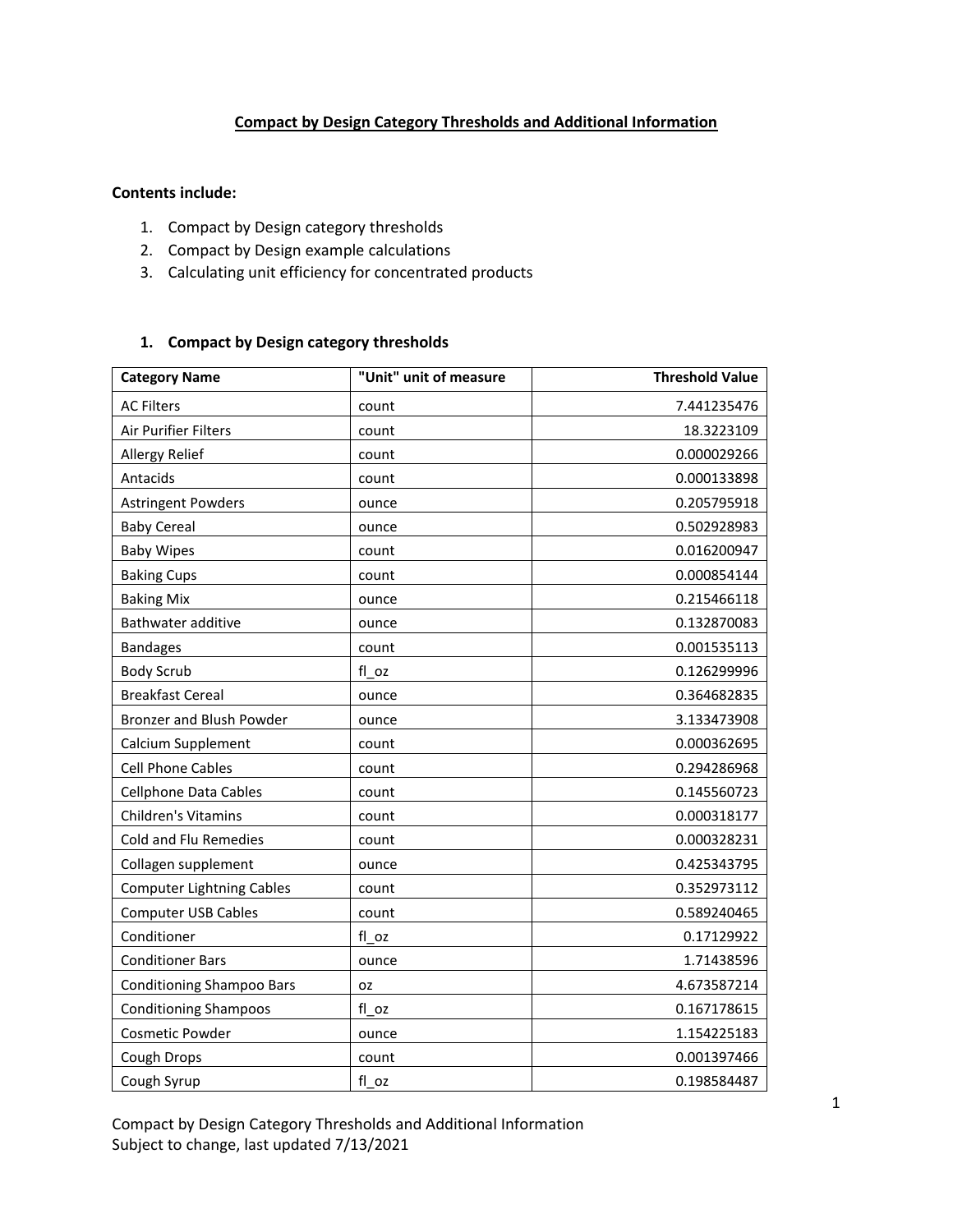# **Compact by Design Category Thresholds and Additional Information**

### **Contents include:**

- 1. Compact by Design category thresholds
- 2. Compact by Design example calculations
- 3. Calculating unit efficiency for concentrated products

## **1. Compact by Design category thresholds**

| <b>Category Name</b>             | "Unit" unit of measure | <b>Threshold Value</b> |
|----------------------------------|------------------------|------------------------|
| <b>AC Filters</b>                | count                  | 7.441235476            |
| Air Purifier Filters             | count                  | 18.3223109             |
| <b>Allergy Relief</b>            | count                  | 0.000029266            |
| Antacids                         | count                  | 0.000133898            |
| <b>Astringent Powders</b>        | ounce                  | 0.205795918            |
| <b>Baby Cereal</b>               | ounce                  | 0.502928983            |
| <b>Baby Wipes</b>                | count                  | 0.016200947            |
| <b>Baking Cups</b>               | count                  | 0.000854144            |
| <b>Baking Mix</b>                | ounce                  | 0.215466118            |
| Bathwater additive               | ounce                  | 0.132870083            |
| <b>Bandages</b>                  | count                  | 0.001535113            |
| <b>Body Scrub</b>                | fl oz                  | 0.126299996            |
| <b>Breakfast Cereal</b>          | ounce                  | 0.364682835            |
| <b>Bronzer and Blush Powder</b>  | ounce                  | 3.133473908            |
| Calcium Supplement               | count                  | 0.000362695            |
| <b>Cell Phone Cables</b>         | count                  | 0.294286968            |
| <b>Cellphone Data Cables</b>     | count                  | 0.145560723            |
| Children's Vitamins              | count                  | 0.000318177            |
| Cold and Flu Remedies            | count                  | 0.000328231            |
| Collagen supplement              | ounce                  | 0.425343795            |
| <b>Computer Lightning Cables</b> | count                  | 0.352973112            |
| <b>Computer USB Cables</b>       | count                  | 0.589240465            |
| Conditioner                      | fl oz                  | 0.17129922             |
| <b>Conditioner Bars</b>          | ounce                  | 1.71438596             |
| <b>Conditioning Shampoo Bars</b> | OZ.                    | 4.673587214            |
| <b>Conditioning Shampoos</b>     | fl oz                  | 0.167178615            |
| Cosmetic Powder                  | ounce                  | 1.154225183            |
| Cough Drops                      | count                  | 0.001397466            |
| Cough Syrup                      | fl oz                  | 0.198584487            |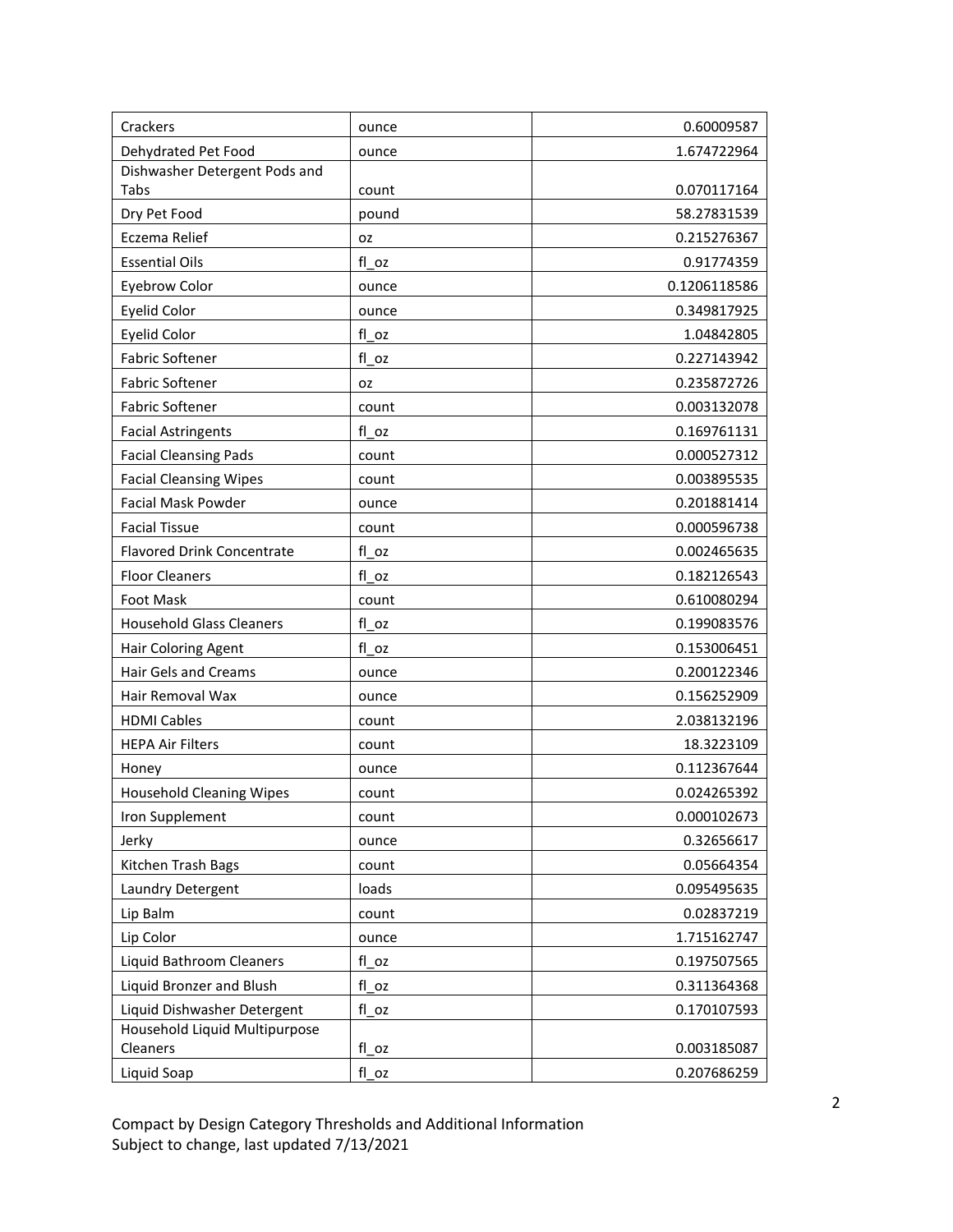| Crackers                          | ounce     | 0.60009587   |
|-----------------------------------|-----------|--------------|
| Dehydrated Pet Food               | ounce     | 1.674722964  |
| Dishwasher Detergent Pods and     |           |              |
| Tabs                              | count     | 0.070117164  |
| Dry Pet Food                      | pound     | 58.27831539  |
| Eczema Relief                     | OZ        | 0.215276367  |
| <b>Essential Oils</b>             | fl oz     | 0.91774359   |
| <b>Eyebrow Color</b>              | ounce     | 0.1206118586 |
| <b>Eyelid Color</b>               | ounce     | 0.349817925  |
| <b>Eyelid Color</b>               | fl oz     | 1.04842805   |
| <b>Fabric Softener</b>            | fl oz     | 0.227143942  |
| <b>Fabric Softener</b>            | <b>OZ</b> | 0.235872726  |
| <b>Fabric Softener</b>            | count     | 0.003132078  |
| <b>Facial Astringents</b>         | fl oz     | 0.169761131  |
| <b>Facial Cleansing Pads</b>      | count     | 0.000527312  |
| <b>Facial Cleansing Wipes</b>     | count     | 0.003895535  |
| <b>Facial Mask Powder</b>         | ounce     | 0.201881414  |
| <b>Facial Tissue</b>              | count     | 0.000596738  |
| <b>Flavored Drink Concentrate</b> | fl oz     | 0.002465635  |
| <b>Floor Cleaners</b>             | fl oz     | 0.182126543  |
| <b>Foot Mask</b>                  | count     | 0.610080294  |
| <b>Household Glass Cleaners</b>   | fl oz     | 0.199083576  |
| Hair Coloring Agent               | fl oz     | 0.153006451  |
| Hair Gels and Creams              | ounce     | 0.200122346  |
| Hair Removal Wax                  | ounce     | 0.156252909  |
| <b>HDMI Cables</b>                | count     | 2.038132196  |
| <b>HEPA Air Filters</b>           | count     | 18.3223109   |
| Honey                             | ounce     | 0.112367644  |
| <b>Household Cleaning Wipes</b>   | count     | 0.024265392  |
| Iron Supplement                   | count     | 0.000102673  |
| Jerky                             | ounce     | 0.32656617   |
| Kitchen Trash Bags                | count     | 0.05664354   |
| Laundry Detergent                 | loads     | 0.095495635  |
| Lip Balm                          | count     | 0.02837219   |
| Lip Color                         | ounce     | 1.715162747  |
| Liquid Bathroom Cleaners          | $fl_oz$   | 0.197507565  |
| Liquid Bronzer and Blush          | fl oz     | 0.311364368  |
| Liquid Dishwasher Detergent       | fl oz     | 0.170107593  |
| Household Liquid Multipurpose     |           |              |
| Cleaners                          | fl oz     | 0.003185087  |
| Liquid Soap                       | fl oz     | 0.207686259  |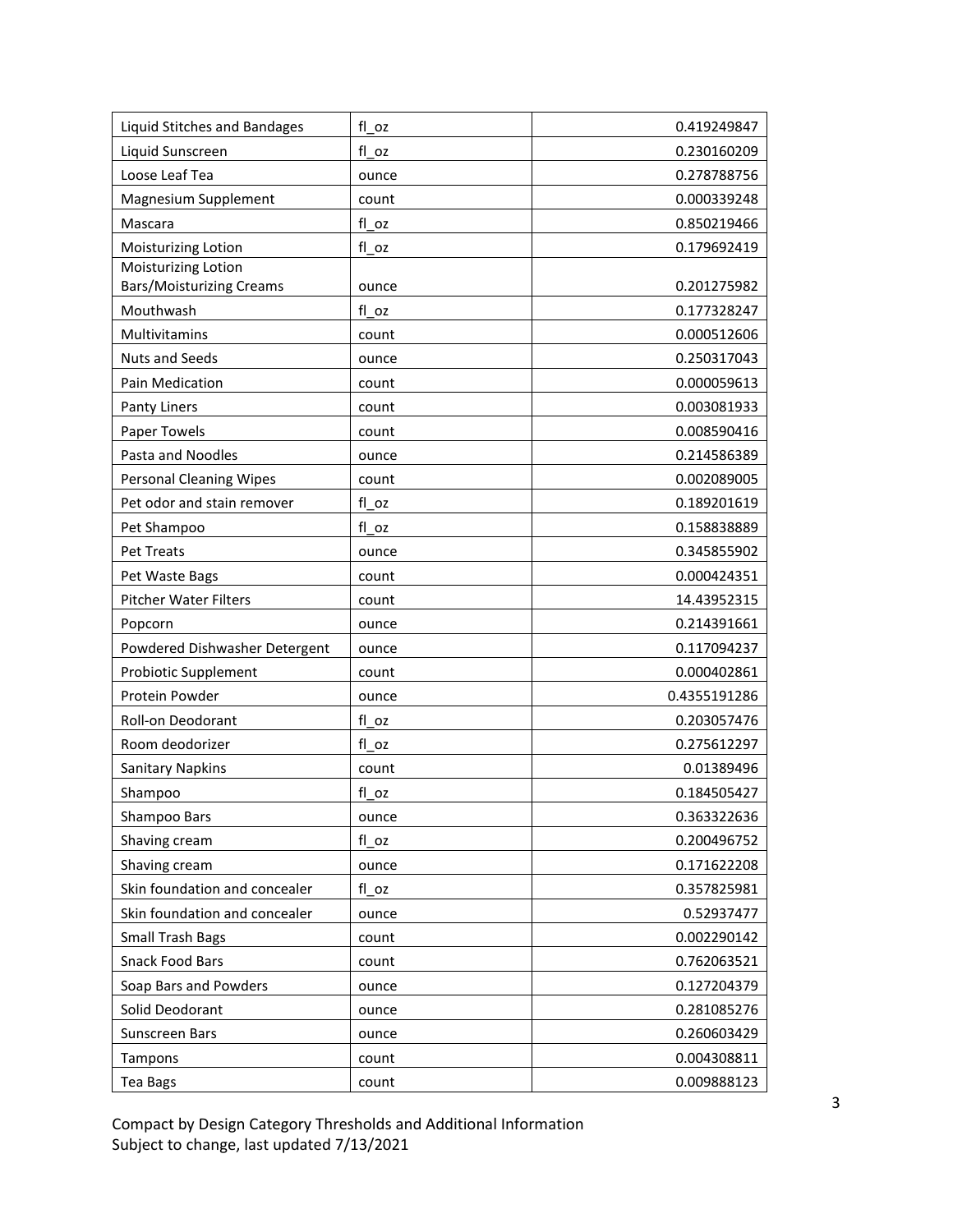| Liquid Stitches and Bandages    | fl oz   | 0.419249847  |
|---------------------------------|---------|--------------|
| Liquid Sunscreen                | fl oz   | 0.230160209  |
| Loose Leaf Tea                  | ounce   | 0.278788756  |
| Magnesium Supplement            | count   | 0.000339248  |
| Mascara                         | fl oz   | 0.850219466  |
| Moisturizing Lotion             | fl oz   | 0.179692419  |
| Moisturizing Lotion             |         |              |
| <b>Bars/Moisturizing Creams</b> | ounce   | 0.201275982  |
| Mouthwash                       | fl oz   | 0.177328247  |
| Multivitamins                   | count   | 0.000512606  |
| <b>Nuts and Seeds</b>           | ounce   | 0.250317043  |
| Pain Medication                 | count   | 0.000059613  |
| Panty Liners                    | count   | 0.003081933  |
| <b>Paper Towels</b>             | count   | 0.008590416  |
| Pasta and Noodles               | ounce   | 0.214586389  |
| <b>Personal Cleaning Wipes</b>  | count   | 0.002089005  |
| Pet odor and stain remover      | fl oz   | 0.189201619  |
| Pet Shampoo                     | fl oz   | 0.158838889  |
| <b>Pet Treats</b>               | ounce   | 0.345855902  |
| Pet Waste Bags                  | count   | 0.000424351  |
| <b>Pitcher Water Filters</b>    | count   | 14.43952315  |
| Popcorn                         | ounce   | 0.214391661  |
| Powdered Dishwasher Detergent   | ounce   | 0.117094237  |
| Probiotic Supplement            | count   | 0.000402861  |
| Protein Powder                  | ounce   | 0.4355191286 |
| Roll-on Deodorant               | fl oz   | 0.203057476  |
| Room deodorizer                 | fl oz   | 0.275612297  |
| <b>Sanitary Napkins</b>         | count   | 0.01389496   |
| Shampoo                         | fl oz   | 0.184505427  |
| Shampoo Bars                    | ounce   | 0.363322636  |
| Shaving cream                   | fl oz   | 0.200496752  |
| Shaving cream                   | ounce   | 0.171622208  |
| Skin foundation and concealer   | $fl_oz$ | 0.357825981  |
| Skin foundation and concealer   | ounce   | 0.52937477   |
| <b>Small Trash Bags</b>         | count   | 0.002290142  |
| <b>Snack Food Bars</b>          | count   | 0.762063521  |
| Soap Bars and Powders           | ounce   | 0.127204379  |
| Solid Deodorant                 | ounce   | 0.281085276  |
| Sunscreen Bars                  | ounce   | 0.260603429  |
| Tampons                         | count   | 0.004308811  |
| Tea Bags                        | count   | 0.009888123  |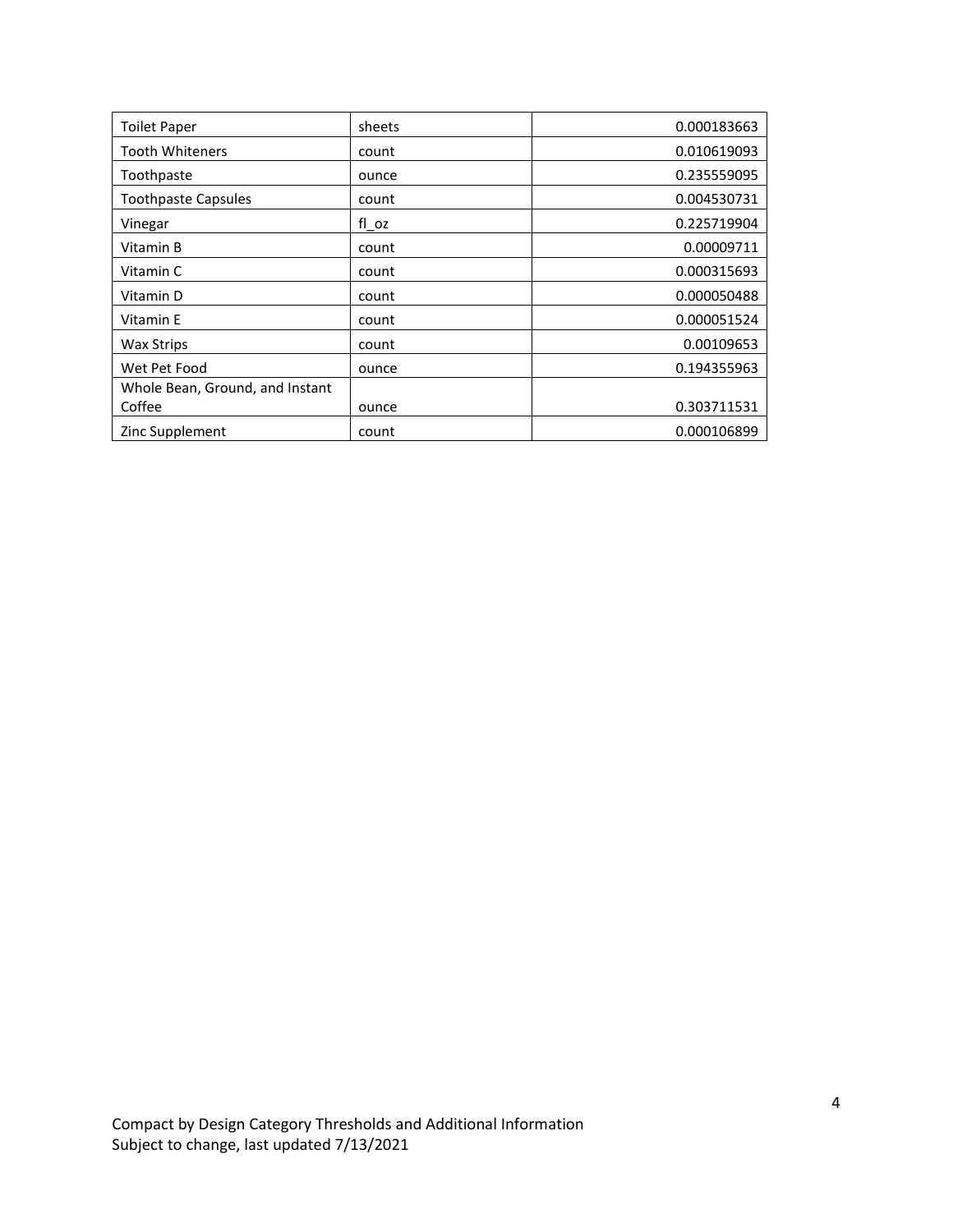| <b>Toilet Paper</b>             | sheets | 0.000183663 |
|---------------------------------|--------|-------------|
| <b>Tooth Whiteners</b>          | count  | 0.010619093 |
| Toothpaste                      | ounce  | 0.235559095 |
| <b>Toothpaste Capsules</b>      | count  | 0.004530731 |
| Vinegar                         | fl oz  | 0.225719904 |
| Vitamin B                       | count  | 0.00009711  |
| Vitamin C                       | count  | 0.000315693 |
| Vitamin D                       | count  | 0.000050488 |
| Vitamin E                       | count  | 0.000051524 |
| <b>Wax Strips</b>               | count  | 0.00109653  |
| Wet Pet Food                    | ounce  | 0.194355963 |
| Whole Bean, Ground, and Instant |        |             |
| Coffee                          | ounce  | 0.303711531 |
| Zinc Supplement                 | count  | 0.000106899 |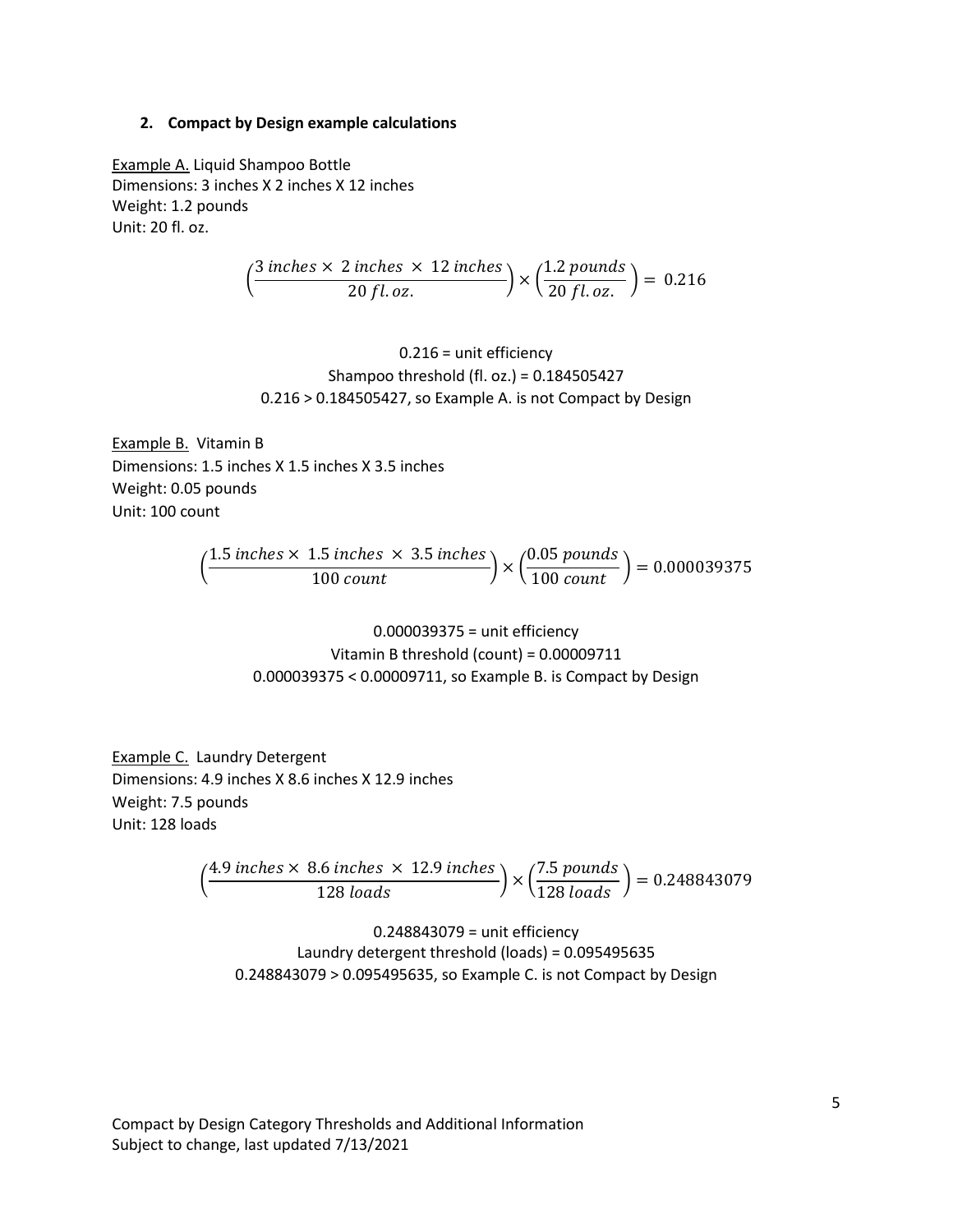### **2. Compact by Design example calculations**

Example A. Liquid Shampoo Bottle Dimensions: 3 inches X 2 inches X 12 inches Weight: 1.2 pounds Unit: 20 fl. oz.

$$
\left(\frac{3 \text{ inches} \times 2 \text{ inches} \times 12 \text{ inches}}{20 \text{ fl. oz.}}\right) \times \left(\frac{1.2 \text{ pounds}}{20 \text{ fl. oz.}}\right) = 0.216
$$

0.216 = unit efficiency Shampoo threshold (fl. oz.) = 0.184505427 0.216 > 0.184505427, so Example A. is not Compact by Design

Example B. Vitamin B Dimensions: 1.5 inches X 1.5 inches X 3.5 inches Weight: 0.05 pounds Unit: 100 count

$$
\left(\frac{1.5 \text{ inches} \times 1.5 \text{ inches} \times 3.5 \text{ inches}}{100 \text{ count}}\right) \times \left(\frac{0.05 \text{ pounds}}{100 \text{ count}}\right) = 0.000039375
$$

0.000039375 = unit efficiency Vitamin B threshold (count) = 0.00009711 0.000039375 < 0.00009711, so Example B. is Compact by Design

Example C. Laundry Detergent Dimensions: 4.9 inches X 8.6 inches X 12.9 inches Weight: 7.5 pounds Unit: 128 loads

$$
\left(\frac{4.9 \text{ inches} \times 8.6 \text{ inches} \times 12.9 \text{ inches}}{128 \text{ loads}}\right) \times \left(\frac{7.5 \text{ pounds}}{128 \text{ loads}}\right) = 0.248843079
$$

0.248843079 = unit efficiency Laundry detergent threshold (loads) = 0.095495635 0.248843079 > 0.095495635, so Example C. is not Compact by Design